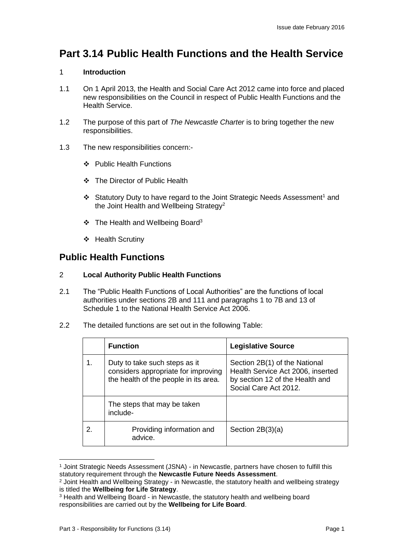# **Part 3.14 Public Health Functions and the Health Service**

#### 1 **Introduction**

- 1.1 On 1 April 2013, the Health and Social Care Act 2012 came into force and placed new responsibilities on the Council in respect of Public Health Functions and the Health Service.
- 1.2 The purpose of this part of *The Newcastle Charter* is to bring together the new responsibilities.
- 1.3 The new responsibilities concern:-
	- ❖ Public Health Functions
	- The Director of Public Health
	- ❖ Statutory Duty to have regard to the Joint Strategic Needs Assessment<sup>1</sup> and the Joint Health and Wellbeing Strategy<sup>2</sup>
	- $\div$  The Health and Wellbeing Board<sup>3</sup>
	- ❖ Health Scrutiny

# **Public Health Functions**

#### 2 **Local Authority Public Health Functions**

- 2.1 The "Public Health Functions of Local Authorities" are the functions of local authorities under sections 2B and 111 and paragraphs 1 to 7B and 13 of Schedule 1 to the National Health Service Act 2006.
- 2.2 The detailed functions are set out in the following Table:

|    | <b>Function</b>                                                                                               | <b>Legislative Source</b>                                                                                                      |
|----|---------------------------------------------------------------------------------------------------------------|--------------------------------------------------------------------------------------------------------------------------------|
| 1. | Duty to take such steps as it<br>considers appropriate for improving<br>the health of the people in its area. | Section 2B(1) of the National<br>Health Service Act 2006, inserted<br>by section 12 of the Health and<br>Social Care Act 2012. |
|    | The steps that may be taken<br>include-                                                                       |                                                                                                                                |
| 2. | Providing information and<br>advice.                                                                          | Section $2B(3)(a)$                                                                                                             |

<sup>1</sup> Joint Strategic Needs Assessment (JSNA) - in Newcastle, partners have chosen to fulfill this statutory requirement through the **Newcastle Future Needs Assessment**.

 $\overline{a}$ 

<sup>&</sup>lt;sup>2</sup> Joint Health and Wellbeing Strategy - in Newcastle, the statutory health and wellbeing strategy is titled the **Wellbeing for Life Strategy**.

<sup>3</sup> Health and Wellbeing Board - in Newcastle, the statutory health and wellbeing board responsibilities are carried out by the **Wellbeing for Life Board**.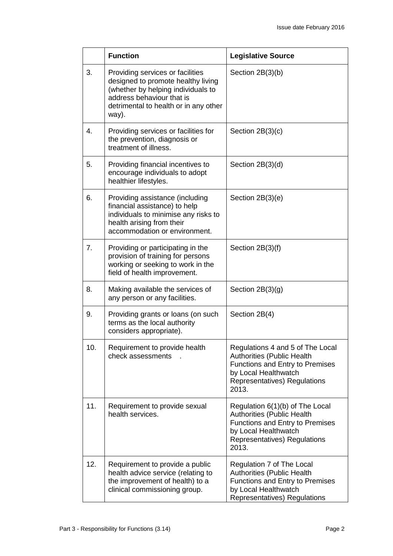|     | <b>Function</b>                                                                                                                                                                             | <b>Legislative Source</b>                                                                                                                                                 |
|-----|---------------------------------------------------------------------------------------------------------------------------------------------------------------------------------------------|---------------------------------------------------------------------------------------------------------------------------------------------------------------------------|
| 3.  | Providing services or facilities<br>designed to promote healthy living<br>(whether by helping individuals to<br>address behaviour that is<br>detrimental to health or in any other<br>way). | Section 2B(3)(b)                                                                                                                                                          |
| 4.  | Providing services or facilities for<br>the prevention, diagnosis or<br>treatment of illness.                                                                                               | Section $2B(3)(c)$                                                                                                                                                        |
| 5.  | Providing financial incentives to<br>encourage individuals to adopt<br>healthier lifestyles.                                                                                                | Section $2B(3)(d)$                                                                                                                                                        |
| 6.  | Providing assistance (including<br>financial assistance) to help<br>individuals to minimise any risks to<br>health arising from their<br>accommodation or environment.                      | Section $2B(3)(e)$                                                                                                                                                        |
| 7.  | Providing or participating in the<br>provision of training for persons<br>working or seeking to work in the<br>field of health improvement.                                                 | Section 2B(3)(f)                                                                                                                                                          |
| 8.  | Making available the services of<br>any person or any facilities.                                                                                                                           | Section $2B(3)(g)$                                                                                                                                                        |
| 9.  | Providing grants or loans (on such<br>terms as the local authority<br>considers appropriate).                                                                                               | Section 2B(4)                                                                                                                                                             |
| 10. | Requirement to provide health<br>check assessments                                                                                                                                          | Regulations 4 and 5 of The Local<br><b>Authorities (Public Health</b><br>Functions and Entry to Premises<br>by Local Healthwatch<br>Representatives) Regulations<br>2013. |
| 11. | Requirement to provide sexual<br>health services.                                                                                                                                           | Regulation 6(1)(b) of The Local<br><b>Authorities (Public Health</b><br>Functions and Entry to Premises<br>by Local Healthwatch<br>Representatives) Regulations<br>2013.  |
| 12. | Requirement to provide a public<br>health advice service (relating to<br>the improvement of health) to a<br>clinical commissioning group.                                                   | Regulation 7 of The Local<br><b>Authorities (Public Health</b><br>Functions and Entry to Premises<br>by Local Healthwatch<br>Representatives) Regulations                 |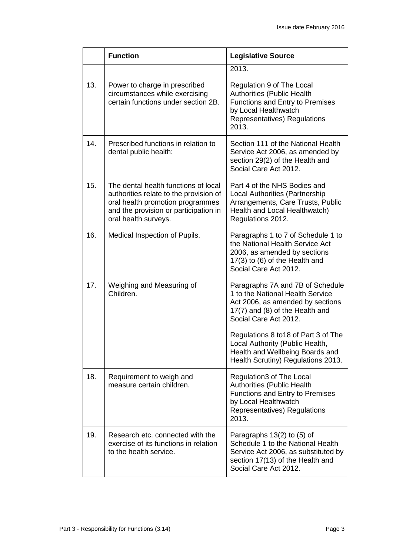|     | <b>Function</b>                                                                                                                                                                     | <b>Legislative Source</b>                                                                                                                                                                                                                                                                                                |
|-----|-------------------------------------------------------------------------------------------------------------------------------------------------------------------------------------|--------------------------------------------------------------------------------------------------------------------------------------------------------------------------------------------------------------------------------------------------------------------------------------------------------------------------|
|     |                                                                                                                                                                                     | 2013.                                                                                                                                                                                                                                                                                                                    |
| 13. | Power to charge in prescribed<br>circumstances while exercising<br>certain functions under section 2B.                                                                              | Regulation 9 of The Local<br><b>Authorities (Public Health</b><br>Functions and Entry to Premises<br>by Local Healthwatch<br>Representatives) Regulations<br>2013.                                                                                                                                                       |
| 14. | Prescribed functions in relation to<br>dental public health:                                                                                                                        | Section 111 of the National Health<br>Service Act 2006, as amended by<br>section 29(2) of the Health and<br>Social Care Act 2012.                                                                                                                                                                                        |
| 15. | The dental health functions of local<br>authorities relate to the provision of<br>oral health promotion programmes<br>and the provision or participation in<br>oral health surveys. | Part 4 of the NHS Bodies and<br><b>Local Authorities (Partnership</b><br>Arrangements, Care Trusts, Public<br>Health and Local Healthwatch)<br>Regulations 2012.                                                                                                                                                         |
| 16. | Medical Inspection of Pupils.                                                                                                                                                       | Paragraphs 1 to 7 of Schedule 1 to<br>the National Health Service Act<br>2006, as amended by sections<br>17(3) to (6) of the Health and<br>Social Care Act 2012.                                                                                                                                                         |
| 17. | Weighing and Measuring of<br>Children.                                                                                                                                              | Paragraphs 7A and 7B of Schedule<br>1 to the National Health Service<br>Act 2006, as amended by sections<br>17(7) and (8) of the Health and<br>Social Care Act 2012.<br>Regulations 8 to 18 of Part 3 of The<br>Local Authority (Public Health,<br>Health and Wellbeing Boards and<br>Health Scrutiny) Regulations 2013. |
| 18. | Requirement to weigh and<br>measure certain children.                                                                                                                               | Regulation3 of The Local<br><b>Authorities (Public Health</b><br><b>Functions and Entry to Premises</b><br>by Local Healthwatch<br>Representatives) Regulations<br>2013.                                                                                                                                                 |
| 19. | Research etc. connected with the<br>exercise of its functions in relation<br>to the health service.                                                                                 | Paragraphs $13(2)$ to $(5)$ of<br>Schedule 1 to the National Health<br>Service Act 2006, as substituted by<br>section 17(13) of the Health and<br>Social Care Act 2012.                                                                                                                                                  |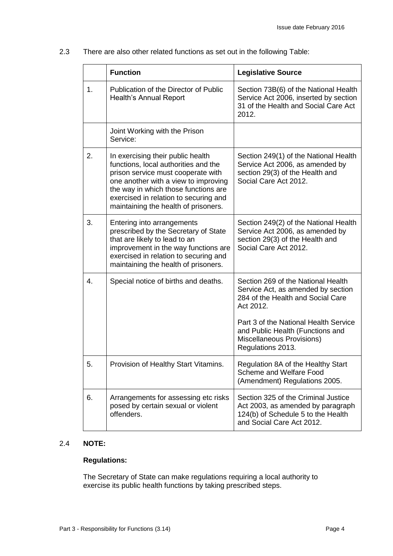2.3 There are also other related functions as set out in the following Table:

|    | <b>Function</b>                                                                                                                                                                                                                                                                  | <b>Legislative Source</b>                                                                                                                                                                                                                                 |
|----|----------------------------------------------------------------------------------------------------------------------------------------------------------------------------------------------------------------------------------------------------------------------------------|-----------------------------------------------------------------------------------------------------------------------------------------------------------------------------------------------------------------------------------------------------------|
| 1. | Publication of the Director of Public<br><b>Health's Annual Report</b>                                                                                                                                                                                                           | Section 73B(6) of the National Health<br>Service Act 2006, inserted by section<br>31 of the Health and Social Care Act<br>2012.                                                                                                                           |
|    | Joint Working with the Prison<br>Service:                                                                                                                                                                                                                                        |                                                                                                                                                                                                                                                           |
| 2. | In exercising their public health<br>functions, local authorities and the<br>prison service must cooperate with<br>one another with a view to improving<br>the way in which those functions are<br>exercised in relation to securing and<br>maintaining the health of prisoners. | Section 249(1) of the National Health<br>Service Act 2006, as amended by<br>section 29(3) of the Health and<br>Social Care Act 2012.                                                                                                                      |
| 3. | Entering into arrangements<br>prescribed by the Secretary of State<br>that are likely to lead to an<br>improvement in the way functions are<br>exercised in relation to securing and<br>maintaining the health of prisoners.                                                     | Section 249(2) of the National Health<br>Service Act 2006, as amended by<br>section 29(3) of the Health and<br>Social Care Act 2012.                                                                                                                      |
| 4. | Special notice of births and deaths.                                                                                                                                                                                                                                             | Section 269 of the National Health<br>Service Act, as amended by section<br>284 of the Health and Social Care<br>Act 2012.<br>Part 3 of the National Health Service<br>and Public Health (Functions and<br>Miscellaneous Provisions)<br>Regulations 2013. |
| 5. | Provision of Healthy Start Vitamins.                                                                                                                                                                                                                                             | Regulation 8A of the Healthy Start<br>Scheme and Welfare Food<br>(Amendment) Regulations 2005.                                                                                                                                                            |
| 6. | Arrangements for assessing etc risks<br>posed by certain sexual or violent<br>offenders.                                                                                                                                                                                         | Section 325 of the Criminal Justice<br>Act 2003, as amended by paragraph<br>124(b) of Schedule 5 to the Health<br>and Social Care Act 2012.                                                                                                               |

#### 2.4 **NOTE:**

### **Regulations:**

The Secretary of State can make regulations requiring a local authority to exercise its public health functions by taking prescribed steps.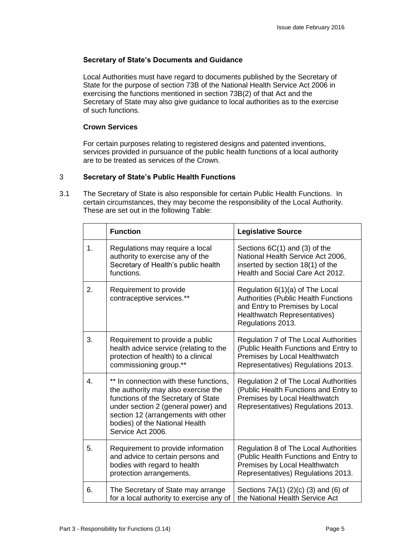#### **Secretary of State's Documents and Guidance**

Local Authorities must have regard to documents published by the Secretary of State for the purpose of section 73B of the National Health Service Act 2006 in exercising the functions mentioned in section 73B(2) of that Act and the Secretary of State may also give guidance to local authorities as to the exercise of such functions.

#### **Crown Services**

For certain purposes relating to registered designs and patented inventions, services provided in pursuance of the public health functions of a local authority are to be treated as services of the Crown.

#### 3 **Secretary of State's Public Health Functions**

3.1 The Secretary of State is also responsible for certain Public Health Functions. In certain circumstances, they may become the responsibility of the Local Authority. These are set out in the following Table:

|    | <b>Function</b>                                                                                                                                                                                                                                           | <b>Legislative Source</b>                                                                                                                                             |
|----|-----------------------------------------------------------------------------------------------------------------------------------------------------------------------------------------------------------------------------------------------------------|-----------------------------------------------------------------------------------------------------------------------------------------------------------------------|
| 1. | Regulations may require a local<br>authority to exercise any of the<br>Secretary of Health's public health<br>functions.                                                                                                                                  | Sections $6C(1)$ and $(3)$ of the<br>National Health Service Act 2006,<br>inserted by section 18(1) of the<br>Health and Social Care Act 2012.                        |
| 2. | Requirement to provide<br>contraceptive services.**                                                                                                                                                                                                       | Regulation 6(1)(a) of The Local<br><b>Authorities (Public Health Functions</b><br>and Entry to Premises by Local<br>Healthwatch Representatives)<br>Regulations 2013. |
| 3. | Requirement to provide a public<br>health advice service (relating to the<br>protection of health) to a clinical<br>commissioning group.**                                                                                                                | Regulation 7 of The Local Authorities<br>(Public Health Functions and Entry to<br>Premises by Local Healthwatch<br>Representatives) Regulations 2013.                 |
| 4. | ** In connection with these functions,<br>the authority may also exercise the<br>functions of the Secretary of State<br>under section 2 (general power) and<br>section 12 (arrangements with other<br>bodies) of the National Health<br>Service Act 2006. | Regulation 2 of The Local Authorities<br>(Public Health Functions and Entry to<br>Premises by Local Healthwatch<br>Representatives) Regulations 2013.                 |
| 5. | Requirement to provide information<br>and advice to certain persons and<br>bodies with regard to health<br>protection arrangements.                                                                                                                       | Regulation 8 of The Local Authorities<br>(Public Health Functions and Entry to<br>Premises by Local Healthwatch<br>Representatives) Regulations 2013.                 |
| 6. | The Secretary of State may arrange<br>for a local authority to exercise any of                                                                                                                                                                            | Sections 7A(1) (2)(c) (3) and (6) of<br>the National Health Service Act                                                                                               |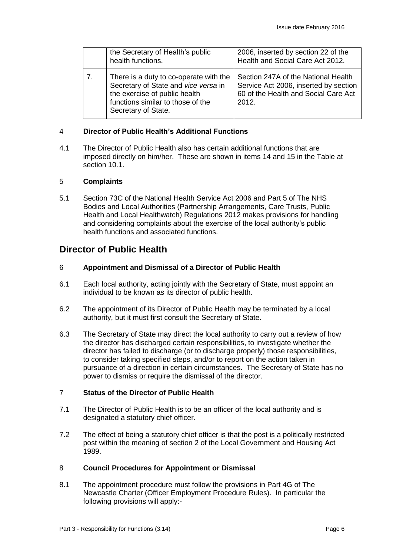|    | the Secretary of Health's public<br>health functions.                                                                                                                       | 2006, inserted by section 22 of the<br>Health and Social Care Act 2012.                                                       |
|----|-----------------------------------------------------------------------------------------------------------------------------------------------------------------------------|-------------------------------------------------------------------------------------------------------------------------------|
| 7. | There is a duty to co-operate with the<br>Secretary of State and vice versa in<br>the exercise of public health<br>functions similar to those of the<br>Secretary of State. | Section 247A of the National Health<br>Service Act 2006, inserted by section<br>60 of the Health and Social Care Act<br>2012. |

#### 4 **Director of Public Health's Additional Functions**

4.1 The Director of Public Health also has certain additional functions that are imposed directly on him/her. These are shown in items 14 and 15 in the Table at section 10.1.

#### 5 **Complaints**

5.1 Section 73C of the National Health Service Act 2006 and Part 5 of The NHS Bodies and Local Authorities (Partnership Arrangements, Care Trusts, Public Health and Local Healthwatch) Regulations 2012 makes provisions for handling and considering complaints about the exercise of the local authority's public health functions and associated functions.

# **Director of Public Health**

#### 6 **Appointment and Dismissal of a Director of Public Health**

- 6.1 Each local authority, acting jointly with the Secretary of State, must appoint an individual to be known as its director of public health.
- 6.2 The appointment of its Director of Public Health may be terminated by a local authority, but it must first consult the Secretary of State.
- 6.3 The Secretary of State may direct the local authority to carry out a review of how the director has discharged certain responsibilities, to investigate whether the director has failed to discharge (or to discharge properly) those responsibilities, to consider taking specified steps, and/or to report on the action taken in pursuance of a direction in certain circumstances. The Secretary of State has no power to dismiss or require the dismissal of the director.

#### 7 **Status of the Director of Public Health**

- 7.1 The Director of Public Health is to be an officer of the local authority and is designated a statutory chief officer.
- 7.2 The effect of being a statutory chief officer is that the post is a politically restricted post within the meaning of section 2 of the Local Government and Housing Act 1989.

#### 8 **Council Procedures for Appointment or Dismissal**

8.1 The appointment procedure must follow the provisions in Part 4G of The Newcastle Charter (Officer Employment Procedure Rules). In particular the following provisions will apply:-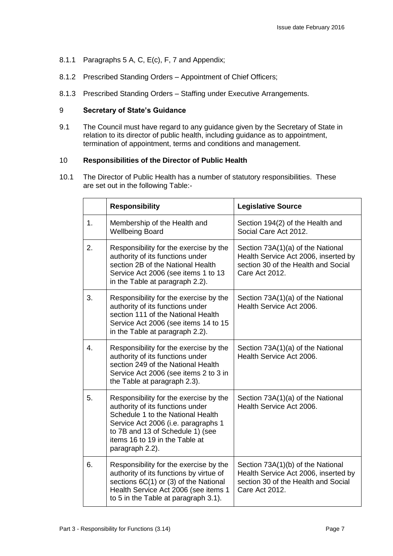- 8.1.1 Paragraphs 5 A, C, E(c), F, 7 and Appendix;
- 8.1.2 Prescribed Standing Orders Appointment of Chief Officers;
- 8.1.3 Prescribed Standing Orders Staffing under Executive Arrangements.

### 9 **Secretary of State's Guidance**

9.1 The Council must have regard to any guidance given by the Secretary of State in relation to its director of public health, including guidance as to appointment, termination of appointment, terms and conditions and management.

#### 10 **Responsibilities of the Director of Public Health**

10.1 The Director of Public Health has a number of statutory responsibilities. These are set out in the following Table:-

|    | <b>Responsibility</b>                                                                                                                                                                                                                           | <b>Legislative Source</b>                                                                                                          |
|----|-------------------------------------------------------------------------------------------------------------------------------------------------------------------------------------------------------------------------------------------------|------------------------------------------------------------------------------------------------------------------------------------|
| 1. | Membership of the Health and<br><b>Wellbeing Board</b>                                                                                                                                                                                          | Section 194(2) of the Health and<br>Social Care Act 2012.                                                                          |
| 2. | Responsibility for the exercise by the<br>authority of its functions under<br>section 2B of the National Health<br>Service Act 2006 (see items 1 to 13<br>in the Table at paragraph 2.2).                                                       | Section 73A(1)(a) of the National<br>Health Service Act 2006, inserted by<br>section 30 of the Health and Social<br>Care Act 2012. |
| 3. | Responsibility for the exercise by the<br>authority of its functions under<br>section 111 of the National Health<br>Service Act 2006 (see items 14 to 15<br>in the Table at paragraph 2.2).                                                     | Section 73A(1)(a) of the National<br>Health Service Act 2006.                                                                      |
| 4. | Responsibility for the exercise by the<br>authority of its functions under<br>section 249 of the National Health<br>Service Act 2006 (see items 2 to 3 in<br>the Table at paragraph 2.3).                                                       | Section 73A(1)(a) of the National<br>Health Service Act 2006.                                                                      |
| 5. | Responsibility for the exercise by the<br>authority of its functions under<br>Schedule 1 to the National Health<br>Service Act 2006 (i.e. paragraphs 1<br>to 7B and 13 of Schedule 1) (see<br>items 16 to 19 in the Table at<br>paragraph 2.2). | Section 73A(1)(a) of the National<br>Health Service Act 2006.                                                                      |
| 6. | Responsibility for the exercise by the<br>authority of its functions by virtue of<br>sections 6C(1) or (3) of the National<br>Health Service Act 2006 (see items 1<br>to 5 in the Table at paragraph 3.1).                                      | Section 73A(1)(b) of the National<br>Health Service Act 2006, inserted by<br>section 30 of the Health and Social<br>Care Act 2012. |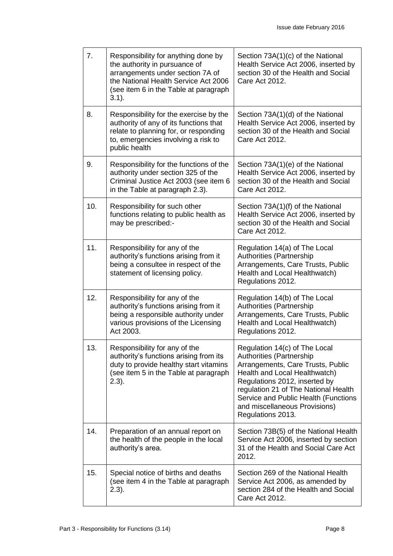| 7.  | Responsibility for anything done by<br>the authority in pursuance of<br>arrangements under section 7A of<br>the National Health Service Act 2006<br>(see item 6 in the Table at paragraph<br>$3.1$ ). | Section 73A(1)(c) of the National<br>Health Service Act 2006, inserted by<br>section 30 of the Health and Social<br>Care Act 2012.                                                                                                                                                                            |
|-----|-------------------------------------------------------------------------------------------------------------------------------------------------------------------------------------------------------|---------------------------------------------------------------------------------------------------------------------------------------------------------------------------------------------------------------------------------------------------------------------------------------------------------------|
| 8.  | Responsibility for the exercise by the<br>authority of any of its functions that<br>relate to planning for, or responding<br>to, emergencies involving a risk to<br>public health                     | Section 73A(1)(d) of the National<br>Health Service Act 2006, inserted by<br>section 30 of the Health and Social<br>Care Act 2012.                                                                                                                                                                            |
| 9.  | Responsibility for the functions of the<br>authority under section 325 of the<br>Criminal Justice Act 2003 (see item 6<br>in the Table at paragraph 2.3).                                             | Section 73A(1)(e) of the National<br>Health Service Act 2006, inserted by<br>section 30 of the Health and Social<br>Care Act 2012.                                                                                                                                                                            |
| 10. | Responsibility for such other<br>functions relating to public health as<br>may be prescribed:-                                                                                                        | Section 73A(1)(f) of the National<br>Health Service Act 2006, inserted by<br>section 30 of the Health and Social<br>Care Act 2012.                                                                                                                                                                            |
| 11. | Responsibility for any of the<br>authority's functions arising from it<br>being a consultee in respect of the<br>statement of licensing policy.                                                       | Regulation 14(a) of The Local<br><b>Authorities (Partnership</b><br>Arrangements, Care Trusts, Public<br>Health and Local Healthwatch)<br>Regulations 2012.                                                                                                                                                   |
| 12. | Responsibility for any of the<br>authority's functions arising from it<br>being a responsible authority under<br>various provisions of the Licensing<br>Act 2003.                                     | Regulation 14(b) of The Local<br><b>Authorities (Partnership</b><br>Arrangements, Care Trusts, Public<br>Health and Local Healthwatch)<br>Regulations 2012.                                                                                                                                                   |
| 13. | Responsibility for any of the<br>authority's functions arising from its<br>duty to provide healthy start vitamins<br>(see item 5 in the Table at paragraph<br>(2.3).                                  | Regulation 14(c) of The Local<br><b>Authorities (Partnership</b><br>Arrangements, Care Trusts, Public<br>Health and Local Healthwatch)<br>Regulations 2012, inserted by<br>regulation 21 of The National Health<br>Service and Public Health (Functions<br>and miscellaneous Provisions)<br>Regulations 2013. |
| 14. | Preparation of an annual report on<br>the health of the people in the local<br>authority's area.                                                                                                      | Section 73B(5) of the National Health<br>Service Act 2006, inserted by section<br>31 of the Health and Social Care Act<br>2012.                                                                                                                                                                               |
| 15. | Special notice of births and deaths<br>(see item 4 in the Table at paragraph<br>$2.3$ ).                                                                                                              | Section 269 of the National Health<br>Service Act 2006, as amended by<br>section 284 of the Health and Social<br>Care Act 2012.                                                                                                                                                                               |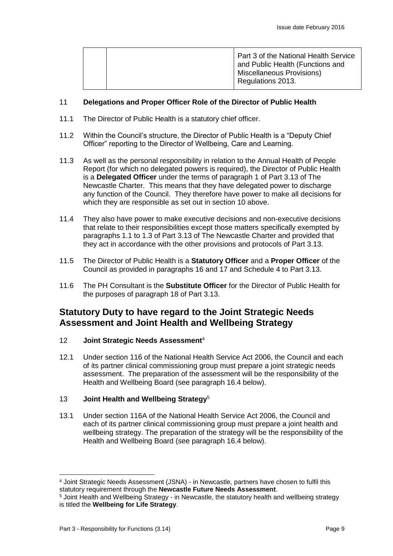### 11 **Delegations and Proper Officer Role of the Director of Public Health**

- 11.1 The Director of Public Health is a statutory chief officer.
- 11.2 Within the Council's structure, the Director of Public Health is a "Deputy Chief Officer" reporting to the Director of Wellbeing, Care and Learning.
- 11.3 As well as the personal responsibility in relation to the Annual Health of People Report (for which no delegated powers is required), the Director of Public Health is a **Delegated Officer** under the terms of paragraph 1 of Part 3.13 of The Newcastle Charter. This means that they have delegated power to discharge any function of the Council. They therefore have power to make all decisions for which they are responsible as set out in section 10 above.
- 11.4 They also have power to make executive decisions and non-executive decisions that relate to their responsibilities except those matters specifically exempted by paragraphs 1.1 to 1.3 of Part 3.13 of The Newcastle Charter and provided that they act in accordance with the other provisions and protocols of Part 3.13.
- 11.5 The Director of Public Health is a **Statutory Officer** and a **Proper Officer** of the Council as provided in paragraphs 16 and 17 and Schedule 4 to Part 3.13.
- 11.6 The PH Consultant is the **Substitute Officer** for the Director of Public Health for the purposes of paragraph 18 of Part 3.13.

# **Statutory Duty to have regard to the Joint Strategic Needs Assessment and Joint Health and Wellbeing Strategy**

#### 12 **Joint Strategic Needs Assessment**<sup>4</sup>

12.1 Under section 116 of the National Health Service Act 2006, the Council and each of its partner clinical commissioning group must prepare a joint strategic needs assessment. The preparation of the assessment will be the responsibility of the Health and Wellbeing Board (see paragraph 16.4 below).

## 13 **Joint Health and Wellbeing Strategy**<sup>5</sup>

13.1 Under section 116A of the National Health Service Act 2006, the Council and each of its partner clinical commissioning group must prepare a joint health and wellbeing strategy. The preparation of the strategy will be the responsibility of the Health and Wellbeing Board (see paragraph 16.4 below).

<sup>-</sup><sup>4</sup> Joint Strategic Needs Assessment (JSNA) - in Newcastle, partners have chosen to fulfil this statutory requirement through the **Newcastle Future Needs Assessment**.

<sup>&</sup>lt;sup>5</sup> Joint Health and Wellbeing Strategy - in Newcastle, the statutory health and wellbeing strategy is titled the **Wellbeing for Life Strategy**.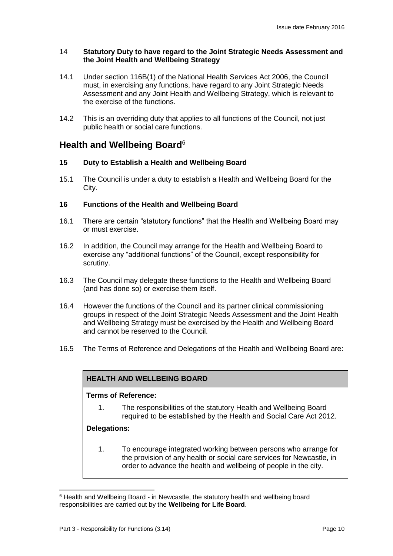#### 14 **Statutory Duty to have regard to the Joint Strategic Needs Assessment and the Joint Health and Wellbeing Strategy**

- 14.1 Under section 116B(1) of the National Health Services Act 2006, the Council must, in exercising any functions, have regard to any Joint Strategic Needs Assessment and any Joint Health and Wellbeing Strategy, which is relevant to the exercise of the functions.
- 14.2 This is an overriding duty that applies to all functions of the Council, not just public health or social care functions.

# **Health and Wellbeing Board**<sup>6</sup>

#### **15 Duty to Establish a Health and Wellbeing Board**

15.1 The Council is under a duty to establish a Health and Wellbeing Board for the City.

#### **16 Functions of the Health and Wellbeing Board**

- 16.1 There are certain "statutory functions" that the Health and Wellbeing Board may or must exercise.
- 16.2 In addition, the Council may arrange for the Health and Wellbeing Board to exercise any "additional functions" of the Council, except responsibility for scrutiny.
- 16.3 The Council may delegate these functions to the Health and Wellbeing Board (and has done so) or exercise them itself.
- 16.4 However the functions of the Council and its partner clinical commissioning groups in respect of the Joint Strategic Needs Assessment and the Joint Health and Wellbeing Strategy must be exercised by the Health and Wellbeing Board and cannot be reserved to the Council.
- 16.5 The Terms of Reference and Delegations of the Health and Wellbeing Board are:

#### **HEALTH AND WELLBEING BOARD**

#### **Terms of Reference:**

1. The responsibilities of the statutory Health and Wellbeing Board required to be established by the Health and Social Care Act 2012.

#### **Delegations:**

-

1. To encourage integrated working between persons who arrange for the provision of any health or social care services for Newcastle, in order to advance the health and wellbeing of people in the city.

<sup>6</sup> Health and Wellbeing Board - in Newcastle, the statutory health and wellbeing board responsibilities are carried out by the **Wellbeing for Life Board**.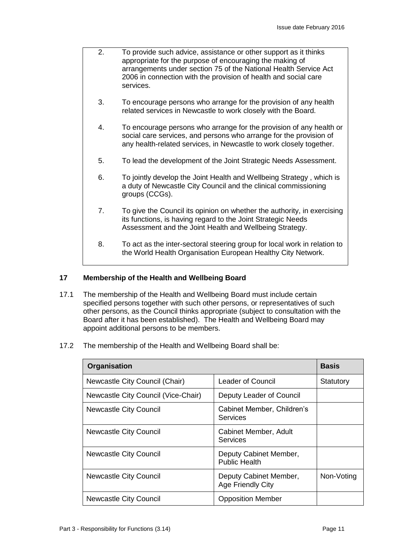- 2. To provide such advice, assistance or other support as it thinks appropriate for the purpose of encouraging the making of arrangements under section 75 of the National Health Service Act 2006 in connection with the provision of health and social care services.
- 3. To encourage persons who arrange for the provision of any health related services in Newcastle to work closely with the Board.
- 4. To encourage persons who arrange for the provision of any health or social care services, and persons who arrange for the provision of any health-related services, in Newcastle to work closely together.
- 5. To lead the development of the Joint Strategic Needs Assessment.
- 6. To jointly develop the Joint Health and Wellbeing Strategy , which is a duty of Newcastle City Council and the clinical commissioning groups (CCGs).
- 7. To give the Council its opinion on whether the authority, in exercising its functions, is having regard to the Joint Strategic Needs Assessment and the Joint Health and Wellbeing Strategy.
- 8. To act as the inter-sectoral steering group for local work in relation to the World Health Organisation European Healthy City Network.

### **17 Membership of the Health and Wellbeing Board**

- 17.1 The membership of the Health and Wellbeing Board must include certain specified persons together with such other persons, or representatives of such other persons, as the Council thinks appropriate (subject to consultation with the Board after it has been established). The Health and Wellbeing Board may appoint additional persons to be members.
- 17.2 The membership of the Health and Wellbeing Board shall be:

| Organisation                        | <b>Basis</b>                                   |            |
|-------------------------------------|------------------------------------------------|------------|
| Newcastle City Council (Chair)      | <b>Leader of Council</b>                       | Statutory  |
| Newcastle City Council (Vice-Chair) | Deputy Leader of Council                       |            |
| <b>Newcastle City Council</b>       | Cabinet Member, Children's<br>Services         |            |
| <b>Newcastle City Council</b>       | Cabinet Member, Adult<br>Services              |            |
| <b>Newcastle City Council</b>       | Deputy Cabinet Member,<br><b>Public Health</b> |            |
| <b>Newcastle City Council</b>       | Deputy Cabinet Member,<br>Age Friendly City    | Non-Voting |
| <b>Newcastle City Council</b>       | <b>Opposition Member</b>                       |            |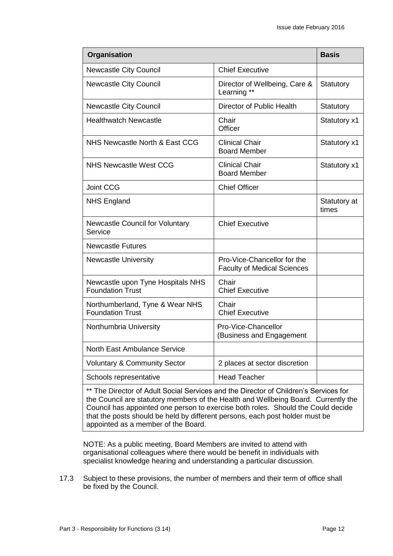| Organisation                                                                       |                                                                   | <b>Basis</b>          |
|------------------------------------------------------------------------------------|-------------------------------------------------------------------|-----------------------|
| <b>Newcastle City Council</b>                                                      | <b>Chief Executive</b>                                            |                       |
| <b>Newcastle City Council</b>                                                      | Director of Wellbeing, Care &<br>Learning **                      | Statutory             |
| <b>Newcastle City Council</b>                                                      | Director of Public Health                                         | Statutory             |
| <b>Healthwatch Newcastle</b>                                                       | Chair<br>Officer                                                  | Statutory x1          |
| NHS Newcastle North & East CCG                                                     | <b>Clinical Chair</b><br><b>Board Member</b>                      | Statutory x1          |
| <b>NHS Newcastle West CCG</b>                                                      | <b>Clinical Chair</b><br><b>Board Member</b>                      | Statutory x1          |
| Joint CCG                                                                          | <b>Chief Officer</b>                                              |                       |
| <b>NHS England</b>                                                                 |                                                                   | Statutory at<br>times |
| Newcastle Council for Voluntary<br>Service                                         | <b>Chief Executive</b>                                            |                       |
| <b>Newcastle Futures</b>                                                           |                                                                   |                       |
| <b>Newcastle University</b>                                                        | Pro-Vice-Chancellor for the<br><b>Faculty of Medical Sciences</b> |                       |
| Newcastle upon Tyne Hospitals NHS<br><b>Foundation Trust</b>                       | Chair<br><b>Chief Executive</b>                                   |                       |
| Northumberland, Tyne & Wear NHS<br><b>Foundation Trust</b>                         | Chair<br><b>Chief Executive</b>                                   |                       |
| Northumbria University                                                             | Pro-Vice-Chancellor<br>(Business and Engagement                   |                       |
| North East Ambulance Service                                                       |                                                                   |                       |
| <b>Voluntary &amp; Community Sector</b>                                            | 2 places at sector discretion                                     |                       |
| Schools representative                                                             | <b>Head Teacher</b>                                               |                       |
| ** The Director of Adult Cooigl Comisso and the Director of Children's Comisso for |                                                                   |                       |

The Director of Adult Social Services and the Director of Children's Services for the Council are statutory members of the Health and Wellbeing Board. Currently the Council has appointed one person to exercise both roles. Should the Could decide that the posts should be held by different persons, each post holder must be appointed as a member of the Board.

NOTE: As a public meeting, Board Members are invited to attend with organisational colleagues where there would be benefit in individuals with specialist knowledge hearing and understanding a particular discussion.

17.3 Subject to these provisions, the number of members and their term of office shall be fixed by the Council.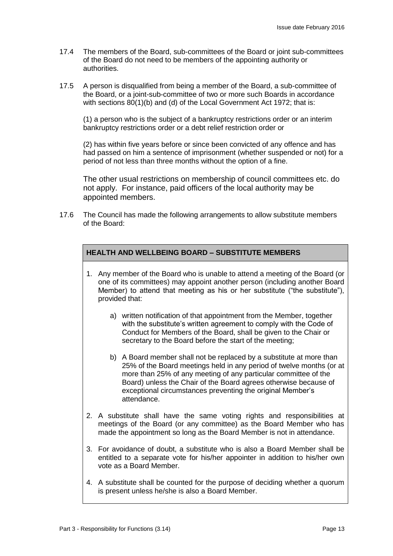- 17.4 The members of the Board, sub-committees of the Board or joint sub-committees of the Board do not need to be members of the appointing authority or authorities.
- 17.5 A person is disqualified from being a member of the Board, a sub-committee of the Board, or a joint-sub-committee of two or more such Boards in accordance with sections 80(1)(b) and (d) of the Local Government Act 1972; that is:

(1) a person who is the subject of a bankruptcy restrictions order or an interim bankruptcy restrictions order or a debt relief restriction order or

(2) has within five years before or since been convicted of any offence and has had passed on him a sentence of imprisonment (whether suspended or not) for a period of not less than three months without the option of a fine.

The other usual restrictions on membership of council committees etc. do not apply. For instance, paid officers of the local authority may be appointed members.

17.6 The Council has made the following arrangements to allow substitute members of the Board:

### **HEALTH AND WELLBEING BOARD – SUBSTITUTE MEMBERS**

- 1. Any member of the Board who is unable to attend a meeting of the Board (or one of its committees) may appoint another person (including another Board Member) to attend that meeting as his or her substitute ("the substitute"), provided that:
	- a) written notification of that appointment from the Member, together with the substitute's written agreement to comply with the Code of Conduct for Members of the Board, shall be given to the Chair or secretary to the Board before the start of the meeting;
	- b) A Board member shall not be replaced by a substitute at more than 25% of the Board meetings held in any period of twelve months (or at more than 25% of any meeting of any particular committee of the Board) unless the Chair of the Board agrees otherwise because of exceptional circumstances preventing the original Member's attendance.
- 2. A substitute shall have the same voting rights and responsibilities at meetings of the Board (or any committee) as the Board Member who has made the appointment so long as the Board Member is not in attendance.
- 3. For avoidance of doubt, a substitute who is also a Board Member shall be entitled to a separate vote for his/her appointer in addition to his/her own vote as a Board Member.
- 4. A substitute shall be counted for the purpose of deciding whether a quorum is present unless he/she is also a Board Member.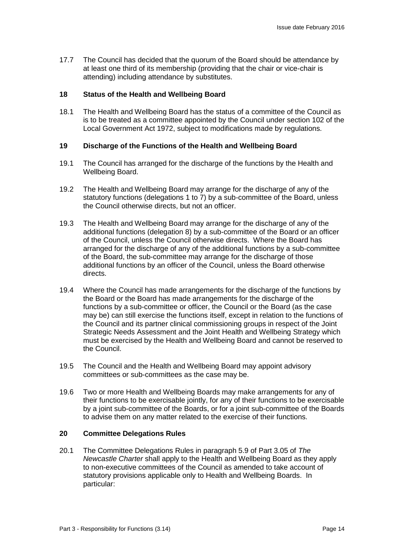17.7 The Council has decided that the quorum of the Board should be attendance by at least one third of its membership (providing that the chair or vice-chair is attending) including attendance by substitutes.

#### **18 Status of the Health and Wellbeing Board**

18.1 The Health and Wellbeing Board has the status of a committee of the Council as is to be treated as a committee appointed by the Council under section 102 of the Local Government Act 1972, subject to modifications made by regulations.

#### **19 Discharge of the Functions of the Health and Wellbeing Board**

- 19.1 The Council has arranged for the discharge of the functions by the Health and Wellbeing Board.
- 19.2 The Health and Wellbeing Board may arrange for the discharge of any of the statutory functions (delegations 1 to 7) by a sub-committee of the Board, unless the Council otherwise directs, but not an officer.
- 19.3 The Health and Wellbeing Board may arrange for the discharge of any of the additional functions (delegation 8) by a sub-committee of the Board or an officer of the Council, unless the Council otherwise directs. Where the Board has arranged for the discharge of any of the additional functions by a sub-committee of the Board, the sub-committee may arrange for the discharge of those additional functions by an officer of the Council, unless the Board otherwise directs.
- 19.4 Where the Council has made arrangements for the discharge of the functions by the Board or the Board has made arrangements for the discharge of the functions by a sub-committee or officer, the Council or the Board (as the case may be) can still exercise the functions itself, except in relation to the functions of the Council and its partner clinical commissioning groups in respect of the Joint Strategic Needs Assessment and the Joint Health and Wellbeing Strategy which must be exercised by the Health and Wellbeing Board and cannot be reserved to the Council.
- 19.5 The Council and the Health and Wellbeing Board may appoint advisory committees or sub-committees as the case may be.
- 19.6 Two or more Health and Wellbeing Boards may make arrangements for any of their functions to be exercisable jointly, for any of their functions to be exercisable by a joint sub-committee of the Boards, or for a joint sub-committee of the Boards to advise them on any matter related to the exercise of their functions.

#### **20 Committee Delegations Rules**

20.1 The Committee Delegations Rules in paragraph 5.9 of Part 3.05 of *The Newcastle Charter* shall apply to the Health and Wellbeing Board as they apply to non-executive committees of the Council as amended to take account of statutory provisions applicable only to Health and Wellbeing Boards. In particular: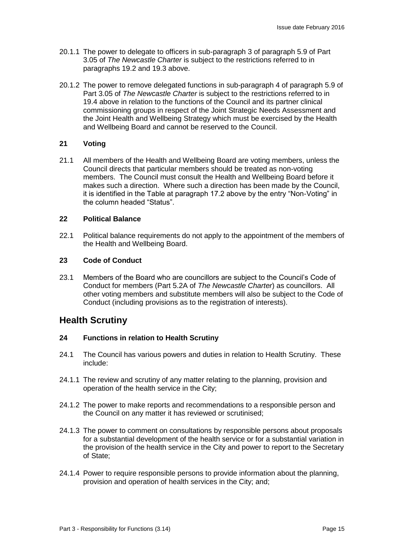- 20.1.1 The power to delegate to officers in sub-paragraph 3 of paragraph 5.9 of Part 3.05 of *The Newcastle Charter* is subject to the restrictions referred to in paragraphs 19.2 and 19.3 above.
- 20.1.2 The power to remove delegated functions in sub-paragraph 4 of paragraph 5.9 of Part 3.05 of *The Newcastle Charter* is subject to the restrictions referred to in 19.4 above in relation to the functions of the Council and its partner clinical commissioning groups in respect of the Joint Strategic Needs Assessment and the Joint Health and Wellbeing Strategy which must be exercised by the Health and Wellbeing Board and cannot be reserved to the Council.

#### **21 Voting**

21.1 All members of the Health and Wellbeing Board are voting members, unless the Council directs that particular members should be treated as non-voting members. The Council must consult the Health and Wellbeing Board before it makes such a direction. Where such a direction has been made by the Council, it is identified in the Table at paragraph 17.2 above by the entry "Non-Voting" in the column headed "Status".

#### **22 Political Balance**

22.1 Political balance requirements do not apply to the appointment of the members of the Health and Wellbeing Board.

#### **23 Code of Conduct**

23.1 Members of the Board who are councillors are subject to the Council's Code of Conduct for members (Part 5.2A of *The Newcastle Charter*) as councillors. All other voting members and substitute members will also be subject to the Code of Conduct (including provisions as to the registration of interests).

# **Health Scrutiny**

#### **24 Functions in relation to Health Scrutiny**

- 24.1 The Council has various powers and duties in relation to Health Scrutiny. These include:
- 24.1.1 The review and scrutiny of any matter relating to the planning, provision and operation of the health service in the City;
- 24.1.2 The power to make reports and recommendations to a responsible person and the Council on any matter it has reviewed or scrutinised;
- 24.1.3 The power to comment on consultations by responsible persons about proposals for a substantial development of the health service or for a substantial variation in the provision of the health service in the City and power to report to the Secretary of State;
- 24.1.4 Power to require responsible persons to provide information about the planning, provision and operation of health services in the City; and;